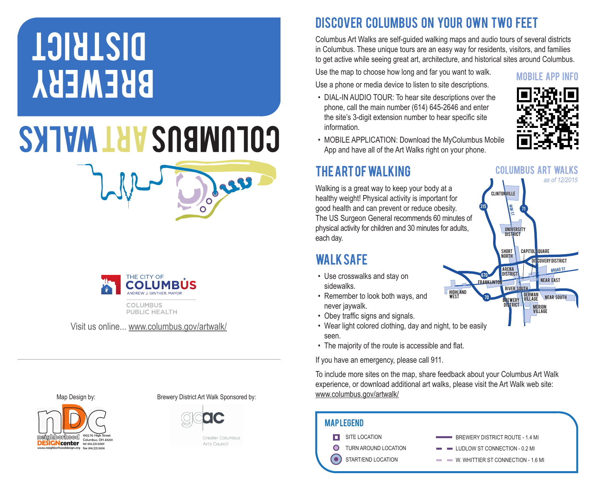## BREWERY **DISTRICT**

## **COLUMBUS ART WALKS**



PUBLIC HEALTH

Visit us online... www.columbus.gov/artwalk/

DISCOVER COLUMBUS ON YOUR OWN TWO FEET

Columbus Art Walks are self-guided walking maps and audio tours of several districts in Columbus. These unique tours are an easy way for residents, visitors, and families to get active while seeing great art, architecture, and historical sites around Columbus.

Use the map to choose how long and far you want to walk. Use a phone or media device to listen to site descriptions.

• DIAL-IN AUDIO TOUR: To hear site descriptions over the phone, call the main number (614) 645-2646 and enter the site's 3-digit extension number to hear specific site information.



BROAD st

as of 12/2015

**COVERY DISTRICT** 

**Capitol Square** 

**COLUMBUS ART WALKS** 

GERMAN<br>Village Near South

MERION village

E

University district

FRANKLINTON NEAR EAST arena district

> river south BREWERY DISTRICT

<sup>315</sup> <sup>71</sup>

short **NORTH** 

CLINTONVILLE

670

70

HIGHLAND<br>West

• MOBILE APPLICATION: Download the MyColumbus Mobile App and have all of the Art Walks right on your phone.

## The Art of Walking

Walking is a great way to keep your body at a healthy weight! Physical activity is important for good health and can prevent or reduce obesity. The US Surgeon General recommends 60 minutes of physical activity for children and 30 minutes for adults, each day.

## Walk Safe

- Use crosswalks and stay on sidewalks.
- Remember to look both ways, and never jaywalk.
- Obey traffic signs and signals.
- Wear light colored clothing, day and night, to be easily seen.
- The majority of the route is accessible and flat.

If you have an emergency, please call 911.

To include more sites on the map, share feedback about your Columbus Art Walk experience, or download additional art walks, please visit the Art Walk web site: www.columbus.gov/artwalk/

| <b>MAPLEGEND</b>     |                                                                |
|----------------------|----------------------------------------------------------------|
| SITE LOCATION        | BREWERY DISTRICT ROUTE - 1.4 MI                                |
| TURN AROUND LOCATION | $\blacksquare$ $\blacksquare$ LUDLOW ST CONNECTION - 0.2 MI    |
| START/END LOCATION   | W. WHITTIER ST CONNECTION - 1.6 MI<br><b>Contract Contract</b> |







Greater Columbus Arts Council

Juv